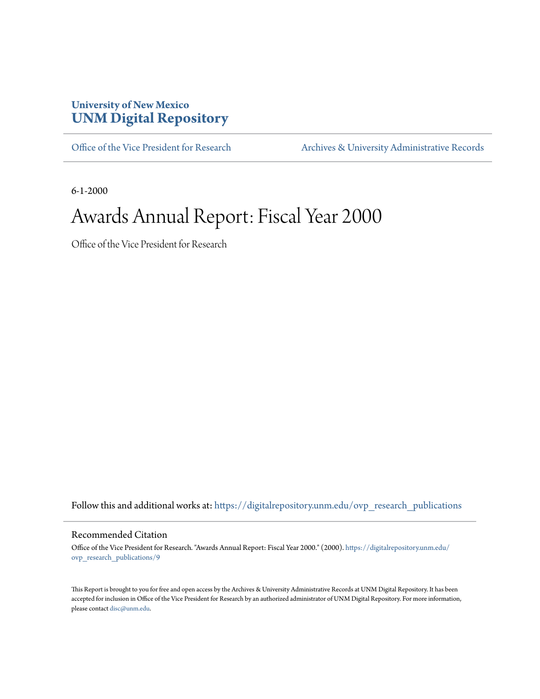#### **University of New Mexico [UNM Digital Repository](https://digitalrepository.unm.edu?utm_source=digitalrepository.unm.edu%2Fovp_research_publications%2F9&utm_medium=PDF&utm_campaign=PDFCoverPages)**

[Office of the Vice President for Research](https://digitalrepository.unm.edu/ovp_research_publications?utm_source=digitalrepository.unm.edu%2Fovp_research_publications%2F9&utm_medium=PDF&utm_campaign=PDFCoverPages) [Archives & University Administrative Records](https://digitalrepository.unm.edu/archives?utm_source=digitalrepository.unm.edu%2Fovp_research_publications%2F9&utm_medium=PDF&utm_campaign=PDFCoverPages)

6-1-2000

#### Awards Annual Report: Fiscal Year 2000

Office of the Vice President for Research

Follow this and additional works at: [https://digitalrepository.unm.edu/ovp\\_research\\_publications](https://digitalrepository.unm.edu/ovp_research_publications?utm_source=digitalrepository.unm.edu%2Fovp_research_publications%2F9&utm_medium=PDF&utm_campaign=PDFCoverPages)

#### Recommended Citation

Office of the Vice President for Research. "Awards Annual Report: Fiscal Year 2000." (2000). [https://digitalrepository.unm.edu/](https://digitalrepository.unm.edu/ovp_research_publications/9?utm_source=digitalrepository.unm.edu%2Fovp_research_publications%2F9&utm_medium=PDF&utm_campaign=PDFCoverPages) [ovp\\_research\\_publications/9](https://digitalrepository.unm.edu/ovp_research_publications/9?utm_source=digitalrepository.unm.edu%2Fovp_research_publications%2F9&utm_medium=PDF&utm_campaign=PDFCoverPages)

This Report is brought to you for free and open access by the Archives & University Administrative Records at UNM Digital Repository. It has been accepted for inclusion in Office of the Vice President for Research by an authorized administrator of UNM Digital Repository. For more information, please contact [disc@unm.edu.](mailto:disc@unm.edu)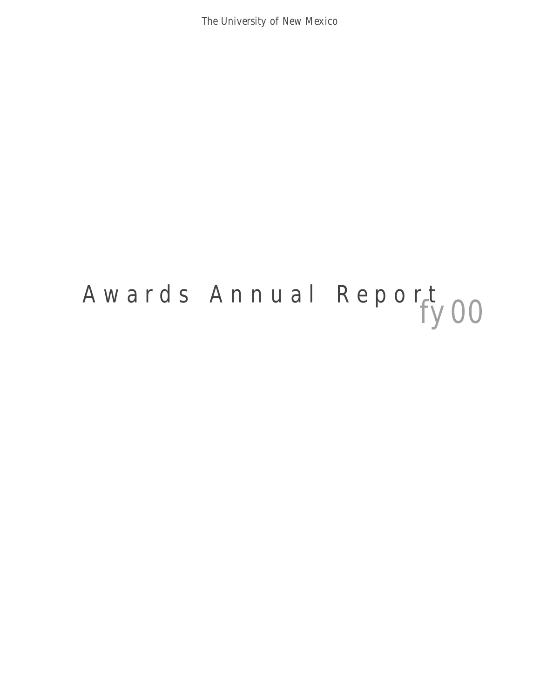The University of New Mexico

# *fy 00* Awards Annual Report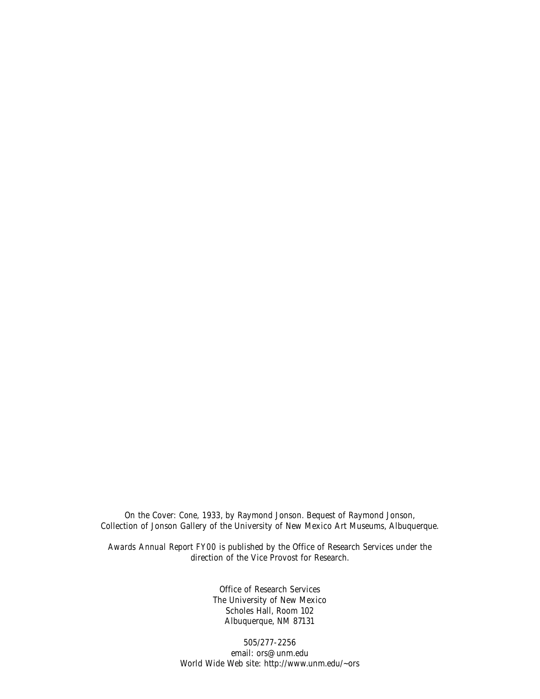On the Cover: *Cone,* 1933, by Raymond Jonson. Bequest of Raymond Jonson, Collection of Jonson Gallery of the University of New Mexico Art Museums, Albuquerque.

*Awards Annual Report FY00* is published by the Office of Research Services under the direction of the Vice Provost for Research.

> Office of Research Services The University of New Mexico Scholes Hall, Room 102 Albuquerque, NM 87131

505/277-2256 email: ors@unm.edu World Wide Web site: http://www.unm.edu/~ors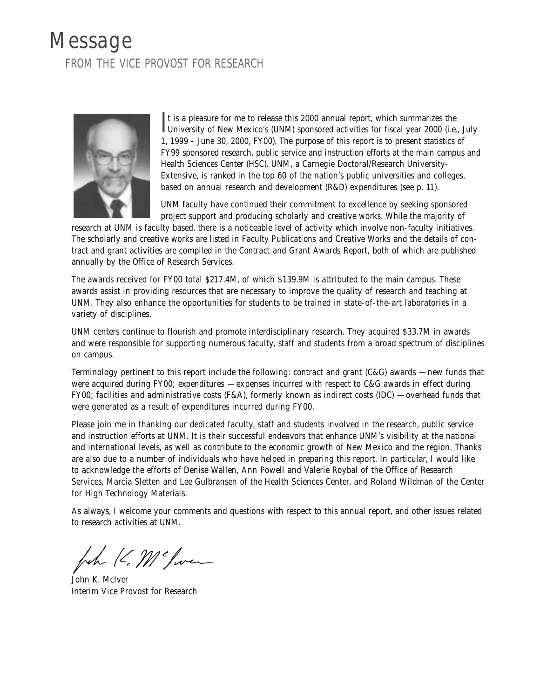#### Message FROM THE VICE PROVOST FOR RESEARCH



It is a pleasure for me to release this 2000 annual report, which summarizes the University of New Mexico's (UNM) sponsored activities for fiscal year 2000 (i.e., July t is a pleasure for me to release this 2000 annual report, which summarizes the 1, 1999 - June 30, 2000, FY00). The purpose of this report is to present statistics of FY99 sponsored research, public service and instruction efforts at the main campus and Health Sciences Center (HSC). UNM, a Carnegie Doctoral/Research University-Extensive, is ranked in the top 60 of the nation's public universities and colleges, based on annual research and development (R&D) expenditures (see p. 11).

UNM faculty have continued their commitment to excellence by seeking sponsored project support and producing scholarly and creative works. While the majority of

research at UNM is faculty based, there is a noticeable level of activity which involve non-faculty initiatives. The scholarly and creative works are listed in *Faculty Publications and Creative Works* and the details of contract and grant activities are compiled in the *Contract and Grant Awards Report,* both of which are published annually by the Office of Research Services.

The awards received for FY00 total \$217.4M, of which \$139.9M is attributed to the main campus. These awards assist in providing resources that are necessary to improve the quality of research and teaching at UNM. They also enhance the opportunities for students to be trained in state-of-the-art laboratories in a variety of disciplines.

UNM centers continue to flourish and promote interdisciplinary research. They acquired \$33.7M in awards and were responsible for supporting numerous faculty, staff and students from a broad spectrum of disciplines on campus.

Terminology pertinent to this report include the following: *contract and grant* (C&G) awards — new funds that were acquired during FY00; *expenditures* — expenses incurred with respect to C&G awards in effect during FY00; *facilities and administrative costs* (F&A), formerly known as indirect costs (IDC) — overhead funds that were generated as a result of expenditures incurred during FY00.

Please join me in thanking our dedicated faculty, staff and students involved in the research, public service and instruction efforts at UNM. It is their successful endeavors that enhance UNM's visibility at the national and international levels, as well as contribute to the economic growth of New Mexico and the region. Thanks are also due to a number of individuals who have helped in preparing this report. In particular, I would like to acknowledge the efforts of Denise Wallen, Ann Powell and Valerie Roybal of the Office of Research Services, Marcia Sletten and Lee Gulbransen of the Health Sciences Center, and Roland Wildman of the Center for High Technology Materials.

As always, I welcome your comments and questions with respect to this annual report, and other issues related to research activities at UNM.

John K. Mc Jwee

John K. McIver Interim Vice Provost for Research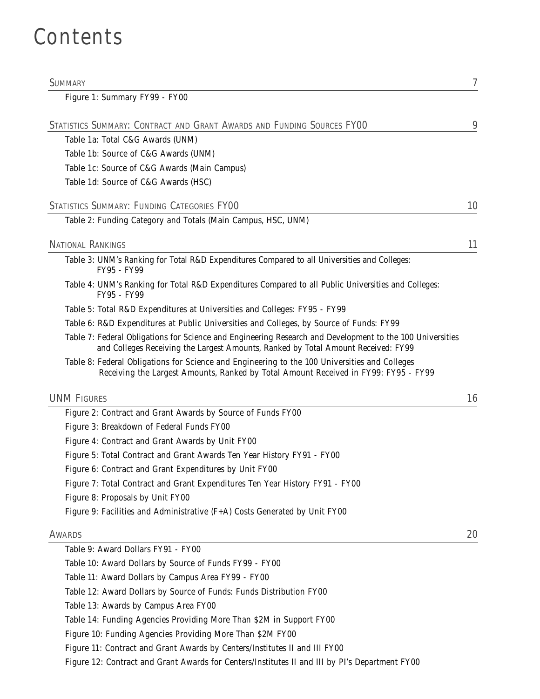## Contents

| <b>SUMMARY</b>                                                                                                                                                                                 | 7  |
|------------------------------------------------------------------------------------------------------------------------------------------------------------------------------------------------|----|
| Figure 1: Summary FY99 - FY00                                                                                                                                                                  |    |
| STATISTICS SUMMARY: CONTRACT AND GRANT AWARDS AND FUNDING SOURCES FYOO                                                                                                                         | 9  |
| Table 1a: Total C&G Awards (UNM)                                                                                                                                                               |    |
| Table 1b: Source of C&G Awards (UNM)                                                                                                                                                           |    |
| Table 1c: Source of C&G Awards (Main Campus)                                                                                                                                                   |    |
| Table 1d: Source of C&G Awards (HSC)                                                                                                                                                           |    |
| STATISTICS SUMMARY: FUNDING CATEGORIES FYOO                                                                                                                                                    | 10 |
| Table 2: Funding Category and Totals (Main Campus, HSC, UNM)                                                                                                                                   |    |
| <b>NATIONAL RANKINGS</b>                                                                                                                                                                       | 11 |
| Table 3: UNM's Ranking for Total R&D Expenditures Compared to all Universities and Colleges:                                                                                                   |    |
| FY95 - FY99                                                                                                                                                                                    |    |
| Table 4: UNM's Ranking for Total R&D Expenditures Compared to all Public Universities and Colleges:<br>FY95 - FY99                                                                             |    |
| Table 5: Total R&D Expenditures at Universities and Colleges: FY95 - FY99                                                                                                                      |    |
| Table 6: R&D Expenditures at Public Universities and Colleges, by Source of Funds: FY99                                                                                                        |    |
| Table 7: Federal Obligations for Science and Engineering Research and Development to the 100 Universities<br>and Colleges Receiving the Largest Amounts, Ranked by Total Amount Received: FY99 |    |
| Table 8: Federal Obligations for Science and Engineering to the 100 Universities and Colleges<br>Receiving the Largest Amounts, Ranked by Total Amount Received in FY99: FY95 - FY99           |    |
| <b>UNM FIGURES</b>                                                                                                                                                                             | 16 |
| Figure 2: Contract and Grant Awards by Source of Funds FY00                                                                                                                                    |    |
| Figure 3: Breakdown of Federal Funds FY00                                                                                                                                                      |    |
| Figure 4: Contract and Grant Awards by Unit FY00                                                                                                                                               |    |
| Figure 5: Total Contract and Grant Awards Ten Year History FY91 - FY00                                                                                                                         |    |
| Figure 6: Contract and Grant Expenditures by Unit FY00                                                                                                                                         |    |
| Figure 7: Total Contract and Grant Expenditures Ten Year History FY91 - FY00                                                                                                                   |    |
| Figure 8: Proposals by Unit FY00                                                                                                                                                               |    |
| Figure 9: Facilities and Administrative (F+A) Costs Generated by Unit FY00                                                                                                                     |    |
| <b>AWARDS</b>                                                                                                                                                                                  | 20 |
| Table 9: Award Dollars FY91 - FY00                                                                                                                                                             |    |
| Table 10: Award Dollars by Source of Funds FY99 - FY00                                                                                                                                         |    |
| Table 11: Award Dollars by Campus Area FY99 - FY00                                                                                                                                             |    |
| Table 12: Award Dollars by Source of Funds: Funds Distribution FY00                                                                                                                            |    |
| Table 13: Awards by Campus Area FY00                                                                                                                                                           |    |
| Table 14: Funding Agencies Providing More Than \$2M in Support FY00                                                                                                                            |    |
| Figure 10: Funding Agencies Providing More Than \$2M FY00                                                                                                                                      |    |
| Figure 11: Contract and Grant Awards by Centers/Institutes II and III FY00                                                                                                                     |    |
|                                                                                                                                                                                                |    |

Figure 12: Contract and Grant Awards for Centers/Institutes II and III by PI's Department FY00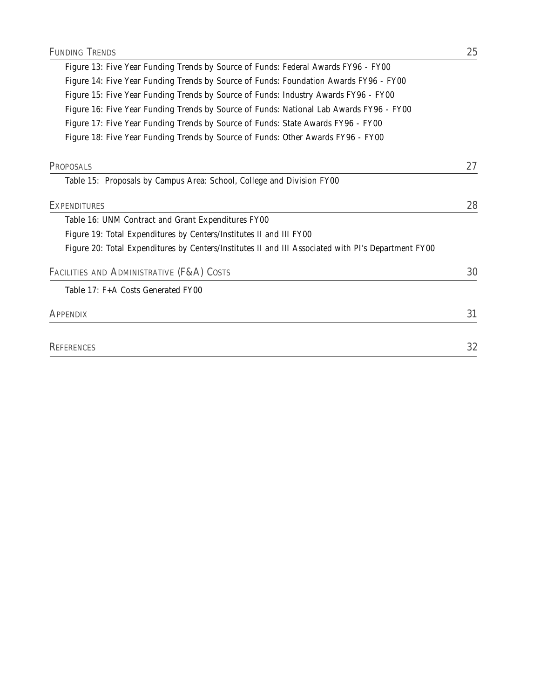| Figure 13: Five Year Funding Trends by Source of Funds: Federal Awards FY96 - FY00                  |    |
|-----------------------------------------------------------------------------------------------------|----|
| Figure 14: Five Year Funding Trends by Source of Funds: Foundation Awards FY96 - FY00               |    |
| Figure 15: Five Year Funding Trends by Source of Funds: Industry Awards FY96 - FY00                 |    |
| Figure 16: Five Year Funding Trends by Source of Funds: National Lab Awards FY96 - FY00             |    |
| Figure 17: Five Year Funding Trends by Source of Funds: State Awards FY96 - FY00                    |    |
| Figure 18: Five Year Funding Trends by Source of Funds: Other Awards FY96 - FY00                    |    |
| PROPOSALS                                                                                           | 27 |
| Table 15: Proposals by Campus Area: School, College and Division FY00                               |    |
| EXPENDITURES                                                                                        | 28 |
| Table 16: UNM Contract and Grant Expenditures FY00                                                  |    |
| Figure 19: Total Expenditures by Centers/Institutes II and III FY00                                 |    |
| Figure 20: Total Expenditures by Centers/Institutes II and III Associated with PI's Department FY00 |    |
| FACILITIES AND ADMINISTRATIVE (F&A) COSTS                                                           | 30 |
| Table 17: F+A Costs Generated FY00                                                                  |    |
|                                                                                                     |    |

| <b>REFERENCES</b> | n n |
|-------------------|-----|
|                   | 36  |

APPENDIX 31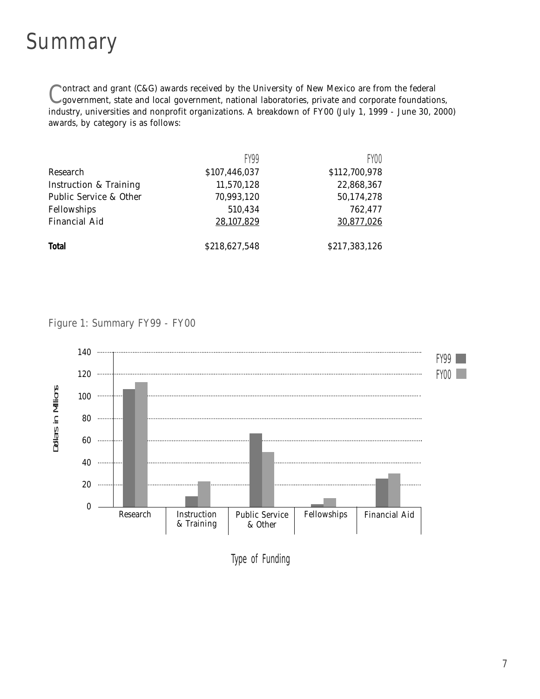#### Summary

Contract and grant (C&G) awards received by the University of New Mexico are from the federal government, state and local government, national laboratories, private and corporate foundations, industry, universities and nonprofit organizations. A breakdown of FY00 (July 1, 1999 - June 30, 2000) awards, by category is as follows:

|                                   | <b>FY99</b>   | FY00          |
|-----------------------------------|---------------|---------------|
| Research                          | \$107,446,037 | \$112,700,978 |
| <b>Instruction &amp; Training</b> | 11,570,128    | 22,868,367    |
| Public Service & Other            | 70,993,120    | 50,174,278    |
| Fellowships                       | 510,434       | 762,477       |
| <b>Financial Aid</b>              | 28,107,829    | 30,877,026    |
| <b>Total</b>                      | \$218,627,548 | \$217,383,126 |

#### Figure 1: Summary FY99 - FY00



Type of Funding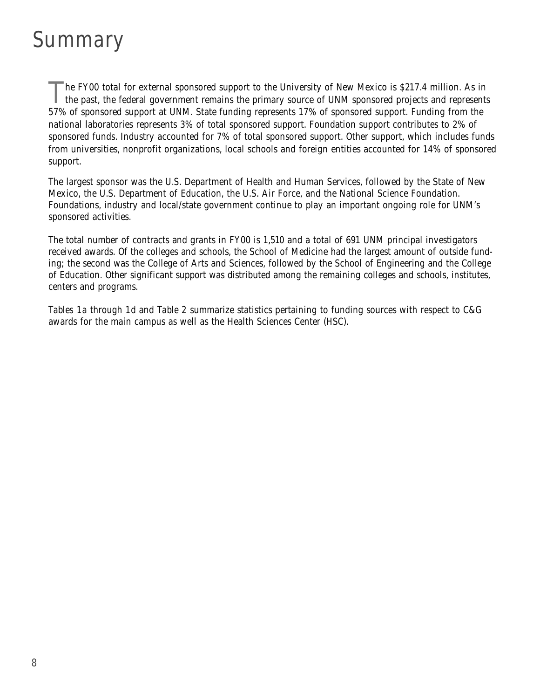## Summary

he FY00 total for external sponsored support to the University of New Mexico is \$217.4 million. As in the past, the federal government remains the primary source of UNM sponsored projects and represents 57% of sponsored support at UNM. State funding represents 17% of sponsored support. Funding from the national laboratories represents 3% of total sponsored support. Foundation support contributes to 2% of sponsored funds. Industry accounted for 7% of total sponsored support. Other support, which includes funds from universities, nonprofit organizations, local schools and foreign entities accounted for 14% of sponsored support.

The largest sponsor was the U.S. Department of Health and Human Services, followed by the State of New Mexico, the U.S. Department of Education, the U.S. Air Force, and the National Science Foundation. Foundations, industry and local/state government continue to play an important ongoing role for UNM's sponsored activities.

The total number of contracts and grants in FY00 is 1,510 and a total of 691 UNM principal investigators received awards. Of the colleges and schools, the School of Medicine had the largest amount of outside funding; the second was the College of Arts and Sciences, followed by the School of Engineering and the College of Education. Other significant support was distributed among the remaining colleges and schools, institutes, centers and programs.

*Tables 1a* through *1d* and *Table 2* summarize statistics pertaining to funding sources with respect to C&G awards for the main campus as well as the Health Sciences Center (HSC).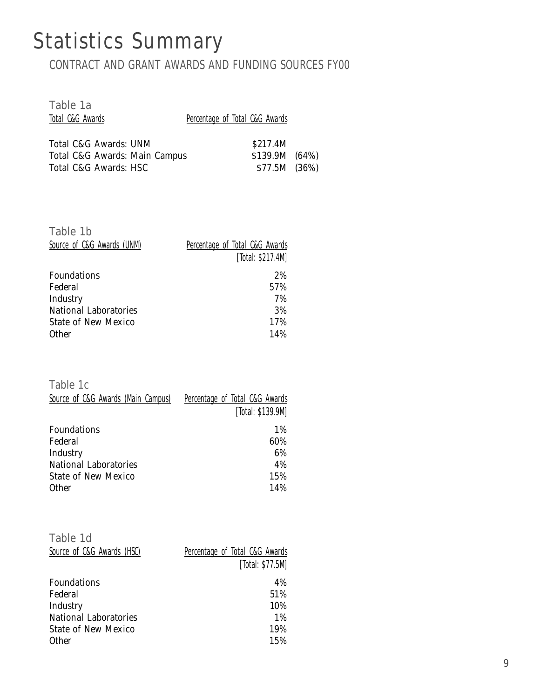## Statistics Summary

CONTRACT AND GRANT AWARDS AND FUNDING SOURCES FY00

| Percentage of Total C&G Awards                  |  |
|-------------------------------------------------|--|
| \$217.4M                                        |  |
| \$139.9M (64%)<br>Total C&G Awards: Main Campus |  |
| \$77.5M (36%)                                   |  |
|                                                 |  |

| Table 1b<br>Source of C&G Awards (UNM) | Percentage of Total C&G Awards<br>[Total: \$217.4M] |
|----------------------------------------|-----------------------------------------------------|
| Foundations                            | 2%                                                  |
| Federal                                | 57%                                                 |
| Industry                               | 7%                                                  |
| <b>National Laboratories</b>           | 3%                                                  |
| State of New Mexico                    | 17%                                                 |
| <b>Other</b>                           | 14%                                                 |

Table 1c

| Source of C&G Awards (Main Campus) | Percentage of Total C&G Awards |
|------------------------------------|--------------------------------|
|                                    | [Total: \$139.9M]              |
| Foundations                        | 1%                             |
| Federal                            | 60%                            |
| Industry                           | 6%                             |
| National Laboratories              | 4%                             |
| <b>State of New Mexico</b>         | 15%                            |
| <b>Other</b>                       | 14%                            |

| Table 1d                     |                                |
|------------------------------|--------------------------------|
| Source of C&G Awards (HSC)   | Percentage of Total C&G Awards |
|                              | [Total: \$77.5M]               |
| Foundations                  | 4%                             |
| Federal                      | 51%                            |
| Industry                     | 10%                            |
| <b>National Laboratories</b> | 1%                             |
| <b>State of New Mexico</b>   | 19%                            |
| <b>Other</b>                 | 15%                            |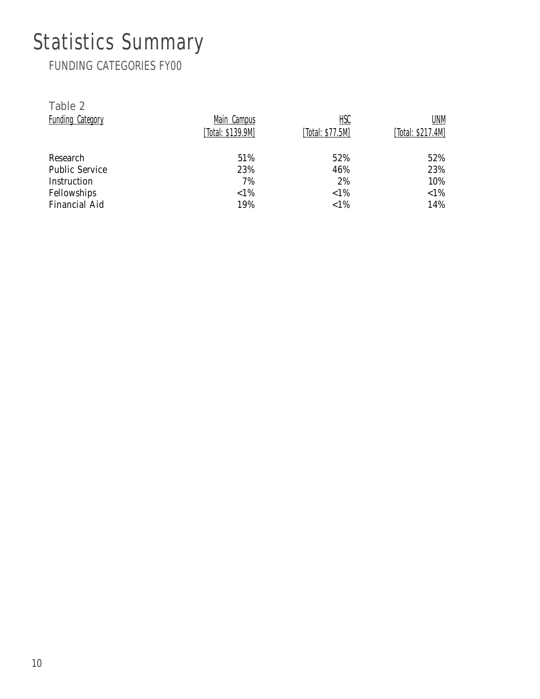# Statistics Summary

FUNDING CATEGORIES FY00

| Table 2                 |                   |                  |                   |
|-------------------------|-------------------|------------------|-------------------|
| <b>Funding Category</b> | Main Campus       | <u>HSC</u>       | UNM               |
|                         | [Total: \$139.9M] | [Total: \$77.5M] | [Total: \$217.4M] |
| Research                | 51%               | 52%              | 52%               |
| <b>Public Service</b>   | 23%               | 46%              | 23%               |
| Instruction             | 7%                | 2%               | 10%               |
| Fellowships             | ${<}1\%$          | ${<}1\%$         | $< 1\%$           |
| <b>Financial Aid</b>    | 19%               | ${<}1\%$         | 14%               |
|                         |                   |                  |                   |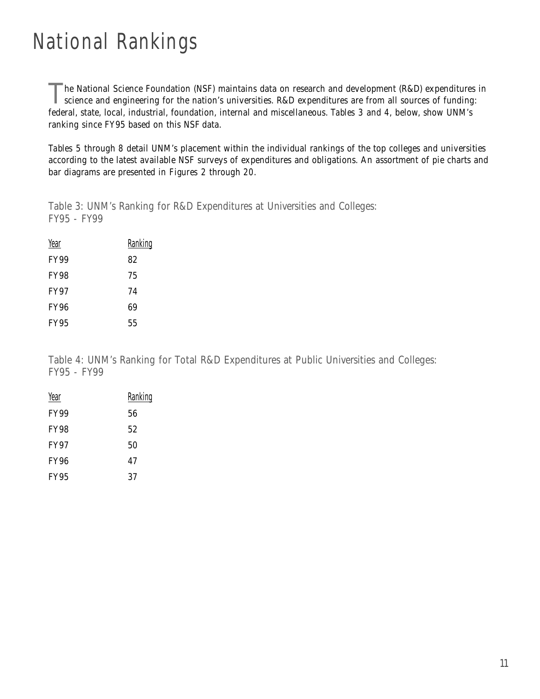## National Rankings

he National Science Foundation (NSF) maintains data on research and development (R&D) expenditures in science and engineering for the nation's universities. R&D expenditures are from all sources of funding: federal, state, local, industrial, foundation, internal and miscellaneous. *Tables 3* and *4,* below, show UNM's ranking since FY95 based on this NSF data.

*Tables 5* through *8* detail UNM's placement within the individual rankings of the top colleges and universities according to the latest available NSF surveys of expenditures and obligations. An assortment of pie charts and bar diagrams are presented in *Figures 2* through *20*.

Table 3: UNM's Ranking for R&D Expenditures at Universities and Colleges: FY95 - FY99

| Year        | <b>Ranking</b> |
|-------------|----------------|
| <b>FY99</b> | 82             |
| <b>FY98</b> | 75             |
| <b>FY97</b> | 74             |
| <b>FY96</b> | 69             |
| <b>FY95</b> | 55             |

Table 4: UNM's Ranking for Total R&D Expenditures at Public Universities and Colleges: FY95 - FY99

| Year        | Ranking |
|-------------|---------|
| <b>FY99</b> | 56      |
| <b>FY98</b> | 52      |
| <b>FY97</b> | 50      |
| <b>FY96</b> | 47      |
| <b>FY95</b> | 37      |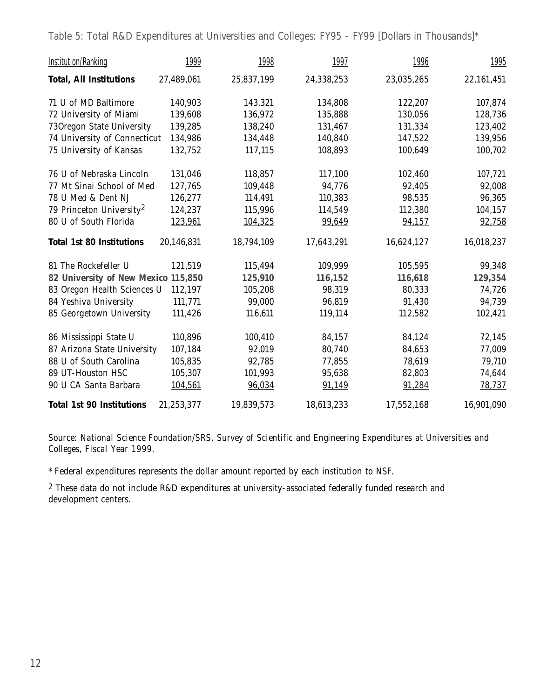Table 5: Total R&D Expenditures at Universities and Colleges: FY95 - FY99 [Dollars in Thousands]\*

| <b>Institution/Ranking</b>           | 1999       | 1998       | 1997       | 1996       | <u>1995</u> |
|--------------------------------------|------------|------------|------------|------------|-------------|
| <b>Total, All Institutions</b>       | 27,489,061 | 25,837,199 | 24,338,253 | 23,035,265 | 22,161,451  |
| 71 U of MD Baltimore                 | 140,903    | 143,321    | 134,808    | 122,207    | 107,874     |
| 72 University of Miami               | 139,608    | 136,972    | 135,888    | 130,056    | 128,736     |
| 730regon State University            | 139,285    | 138,240    | 131,467    | 131,334    | 123,402     |
| 74 University of Connecticut         | 134,986    | 134,448    | 140,840    | 147,522    | 139,956     |
| 75 University of Kansas              | 132,752    | 117,115    | 108,893    | 100,649    | 100,702     |
| 76 U of Nebraska Lincoln             | 131,046    | 118,857    | 117,100    | 102,460    | 107,721     |
| 77 Mt Sinai School of Med            | 127,765    | 109,448    | 94,776     | 92,405     | 92,008      |
| 78 U Med & Dent NJ                   | 126,277    | 114,491    | 110,383    | 98,535     | 96,365      |
| 79 Princeton University <sup>2</sup> | 124,237    | 115,996    | 114,549    | 112,380    | 104,157     |
| 80 U of South Florida                | 123,961    | 104,325    | 99,649     | 94,157     | 92,758      |
| <b>Total 1st 80 Institutions</b>     | 20,146,831 | 18,794,109 | 17,643,291 | 16,624,127 | 16,018,237  |
| 81 The Rockefeller U                 | 121,519    | 115,494    | 109,999    | 105,595    | 99,348      |
| 82 University of New Mexico 115,850  |            | 125,910    | 116,152    | 116,618    | 129,354     |
| 83 Oregon Health Sciences U          | 112,197    | 105,208    | 98,319     | 80,333     | 74,726      |
| 84 Yeshiva University                | 111,771    | 99,000     | 96,819     | 91,430     | 94,739      |
| 85 Georgetown University             | 111,426    | 116,611    | 119,114    | 112,582    | 102,421     |
| 86 Mississippi State U               | 110,896    | 100,410    | 84,157     | 84,124     | 72,145      |
| 87 Arizona State University          | 107,184    | 92,019     | 80,740     | 84,653     | 77,009      |
| 88 U of South Carolina               | 105,835    | 92,785     | 77,855     | 78,619     | 79,710      |
| 89 UT-Houston HSC                    | 105,307    | 101,993    | 95,638     | 82,803     | 74,644      |
| 90 U CA Santa Barbara                | 104,561    | 96,034     | 91,149     | 91,284     | 78,737      |
| <b>Total 1st 90 Institutions</b>     | 21,253,377 | 19,839,573 | 18,613,233 | 17,552,168 | 16,901,090  |

*Source: National Science Foundation/SRS, Survey of Scientific and Engineering Expenditures at Universities and Colleges, Fiscal Year 1999.*

\* Federal expenditures represents the dollar amount reported by each institution to NSF.

2 These data do not include R&D expenditures at university-associated federally funded research and development centers.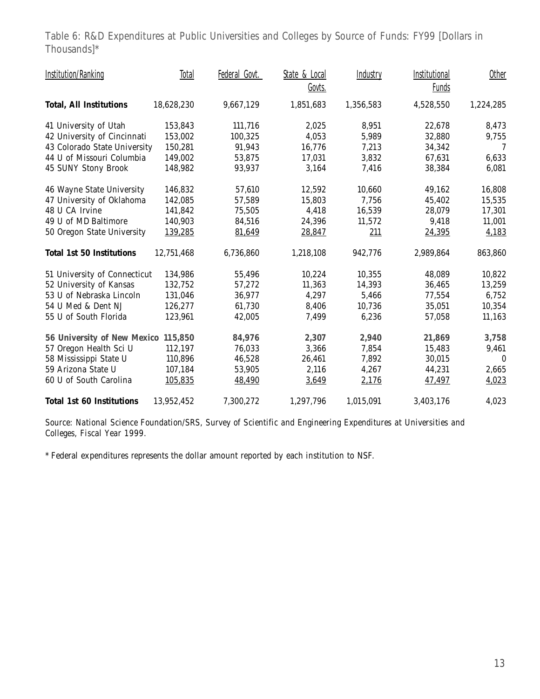Table 6: R&D Expenditures at Public Universities and Colleges by Source of Funds: FY99 [Dollars in Thousands]\*

| <b>Institution/Ranking</b>          | Total      | Federal Govt. | State & Local | Industry  | Institutional | Other            |
|-------------------------------------|------------|---------------|---------------|-----------|---------------|------------------|
|                                     |            |               | Govts.        |           | <b>Funds</b>  |                  |
| <b>Total, All Institutions</b>      | 18,628,230 | 9,667,129     | 1,851,683     | 1,356,583 | 4,528,550     | 1,224,285        |
| 41 University of Utah               | 153,843    | 111,716       | 2,025         | 8,951     | 22,678        | 8,473            |
| 42 University of Cincinnati         | 153,002    | 100,325       | 4,053         | 5,989     | 32,880        | 9,755            |
| 43 Colorado State University        | 150,281    | 91,943        | 16,776        | 7,213     | 34,342        | 7                |
| 44 U of Missouri Columbia           | 149,002    | 53,875        | 17,031        | 3,832     | 67,631        | 6,633            |
| 45 SUNY Stony Brook                 | 148,982    | 93,937        | 3,164         | 7,416     | 38,384        | 6,081            |
| 46 Wayne State University           | 146,832    | 57,610        | 12,592        | 10,660    | 49,162        | 16,808           |
| 47 University of Oklahoma           | 142,085    | 57,589        | 15,803        | 7,756     | 45,402        | 15,535           |
| 48 U CA Irvine                      | 141,842    | 75,505        | 4,418         | 16,539    | 28,079        | 17,301           |
| 49 U of MD Baltimore                | 140,903    | 84,516        | 24,396        | 11,572    | 9,418         | 11,001           |
| 50 Oregon State University          | 139,285    | 81,649        | 28,847        | 211       | 24,395        | 4,183            |
| <b>Total 1st 50 Institutions</b>    | 12,751,468 | 6,736,860     | 1,218,108     | 942,776   | 2,989,864     | 863,860          |
| 51 University of Connecticut        | 134,986    | 55,496        | 10,224        | 10,355    | 48,089        | 10,822           |
| 52 University of Kansas             | 132,752    | 57,272        | 11,363        | 14,393    | 36,465        | 13,259           |
| 53 U of Nebraska Lincoln            | 131,046    | 36,977        | 4,297         | 5,466     | 77,554        | 6,752            |
| 54 U Med & Dent NJ                  | 126,277    | 61,730        | 8,406         | 10,736    | 35,051        | 10,354           |
| 55 U of South Florida               | 123,961    | 42,005        | 7,499         | 6,236     | 57,058        | 11,163           |
| 56 University of New Mexico 115,850 |            | 84,976        | 2,307         | 2,940     | 21,869        | 3,758            |
| 57 Oregon Health Sci U              | 112,197    | 76,033        | 3,366         | 7,854     | 15,483        | 9,461            |
| 58 Mississippi State U              | 110,896    | 46,528        | 26,461        | 7,892     | 30,015        | $\boldsymbol{0}$ |
| 59 Arizona State U                  | 107,184    | 53,905        | 2,116         | 4,267     | 44,231        | 2,665            |
| 60 U of South Carolina              | 105,835    | 48,490        | 3,649         | 2,176     | 47,497        | 4,023            |
| <b>Total 1st 60 Institutions</b>    | 13,952,452 | 7,300,272     | 1,297,796     | 1,015,091 | 3,403,176     | 4,023            |

*Source: National Science Foundation/SRS, Survey of Scientific and Engineering Expenditures at Universities and Colleges, Fiscal Year 1999.*

\* Federal expenditures represents the dollar amount reported by each institution to NSF.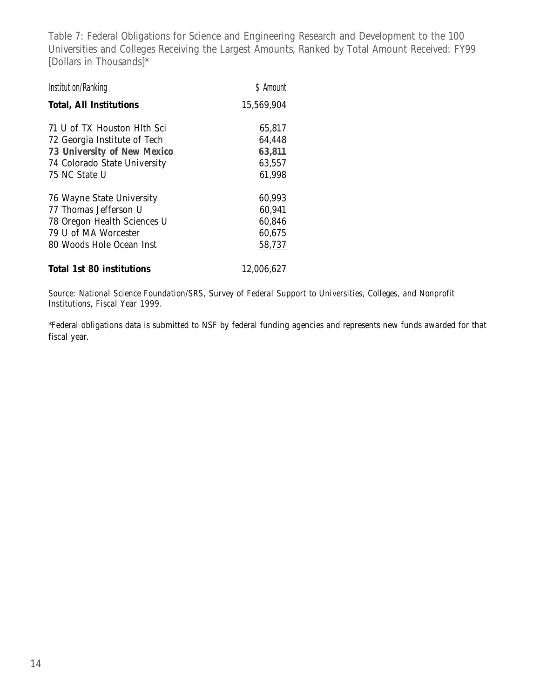Table 7: Federal Obligations for Science and Engineering Research and Development to the 100 Universities and Colleges Receiving the Largest Amounts, Ranked by Total Amount Received: FY99 [Dollars in Thousands]\*

| <b>Institution/Ranking</b>     | \$ Amount  |
|--------------------------------|------------|
| <b>Total, All Institutions</b> | 15,569,904 |
| 71 U of TX Houston Hlth Sci    | 65,817     |
| 72 Georgia Institute of Tech   | 64,448     |
| 73 University of New Mexico    | 63,811     |
| 74 Colorado State University   | 63,557     |
| 75 NC State U                  | 61,998     |
| 76 Wayne State University      | 60,993     |
| 77 Thomas Jefferson U          | 60,941     |
| 78 Oregon Health Sciences U    | 60,846     |
| 79 U of MA Worcester           | 60,675     |
| 80 Woods Hole Ocean Inst       | 58,737     |
| Total 1st 80 institutions      | 12,006,627 |

*Source: National Science Foundation/SRS, Survey of Federal Support to Universities, Colleges, and Nonprofit Institutions, Fiscal Year 1999.*

\*Federal obligations data is submitted to NSF by federal funding agencies and represents new funds awarded for that fiscal year.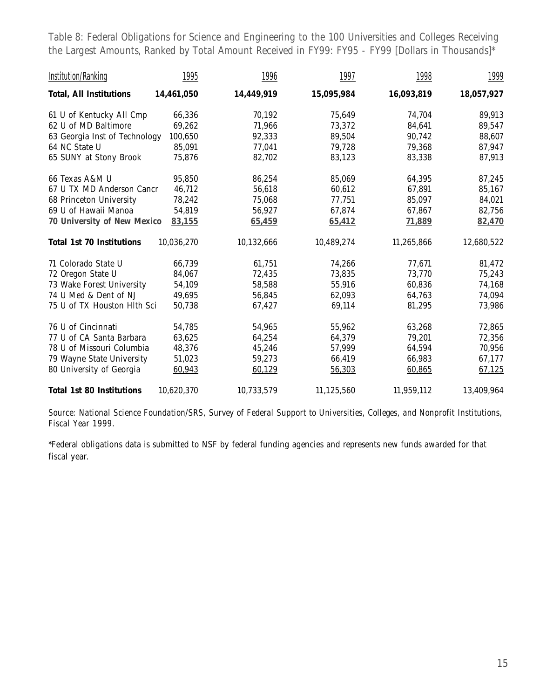Table 8: Federal Obligations for Science and Engineering to the 100 Universities and Colleges Receiving the Largest Amounts, Ranked by Total Amount Received in FY99: FY95 - FY99 [Dollars in Thousands]\*

| <b>Institution/Ranking</b>       | 1995       | 1996       | 1997       | 1998       | 1999       |
|----------------------------------|------------|------------|------------|------------|------------|
| <b>Total, All Institutions</b>   | 14,461,050 | 14,449,919 | 15,095,984 | 16,093,819 | 18,057,927 |
| 61 U of Kentucky All Cmp         | 66,336     | 70,192     | 75,649     | 74,704     | 89,913     |
| 62 U of MD Baltimore             | 69,262     | 71,966     | 73,372     | 84,641     | 89,547     |
| 63 Georgia Inst of Technology    | 100,650    | 92,333     | 89,504     | 90,742     | 88,607     |
| 64 NC State U                    | 85,091     | 77,041     | 79,728     | 79,368     | 87,947     |
| 65 SUNY at Stony Brook           | 75,876     | 82,702     | 83,123     | 83,338     | 87,913     |
| 66 Texas A&M U                   | 95,850     | 86,254     | 85,069     | 64,395     | 87,245     |
| 67 U TX MD Anderson Cancr        | 46,712     | 56,618     | 60,612     | 67,891     | 85,167     |
| 68 Princeton University          | 78,242     | 75,068     | 77,751     | 85,097     | 84,021     |
| 69 U of Hawaii Manoa             | 54,819     | 56,927     | 67,874     | 67,867     | 82,756     |
| 70 University of New Mexico      | 83,155     | 65,459     | 65,412     | 71,889     | 82,470     |
| <b>Total 1st 70 Institutions</b> | 10,036,270 | 10,132,666 | 10,489,274 | 11,265,866 | 12,680,522 |
| 71 Colorado State U              | 66,739     | 61,751     | 74,266     | 77,671     | 81,472     |
| 72 Oregon State U                | 84,067     | 72,435     | 73,835     | 73,770     | 75,243     |
| 73 Wake Forest University        | 54,109     | 58,588     | 55,916     | 60,836     | 74,168     |
| 74 U Med & Dent of NJ            | 49,695     | 56,845     | 62,093     | 64,763     | 74,094     |
| 75 U of TX Houston Hlth Sci      | 50,738     | 67,427     | 69,114     | 81,295     | 73,986     |
| 76 U of Cincinnati               | 54,785     | 54,965     | 55,962     | 63,268     | 72,865     |
| 77 U of CA Santa Barbara         | 63,625     | 64,254     | 64,379     | 79,201     | 72,356     |
| 78 U of Missouri Columbia        | 48,376     | 45,246     | 57,999     | 64,594     | 70,956     |
| 79 Wayne State University        | 51,023     | 59,273     | 66,419     | 66,983     | 67,177     |
| 80 University of Georgia         | 60,943     | 60,129     | 56,303     | 60,865     | 67,125     |
| <b>Total 1st 80 Institutions</b> | 10,620,370 | 10,733,579 | 11,125,560 | 11,959,112 | 13,409,964 |

*Source: National Science Foundation/SRS, Survey of Federal Support to Universities, Colleges, and Nonprofit Institutions, Fiscal Year 1999.*

\*Federal obligations data is submitted to NSF by federal funding agencies and represents new funds awarded for that fiscal year.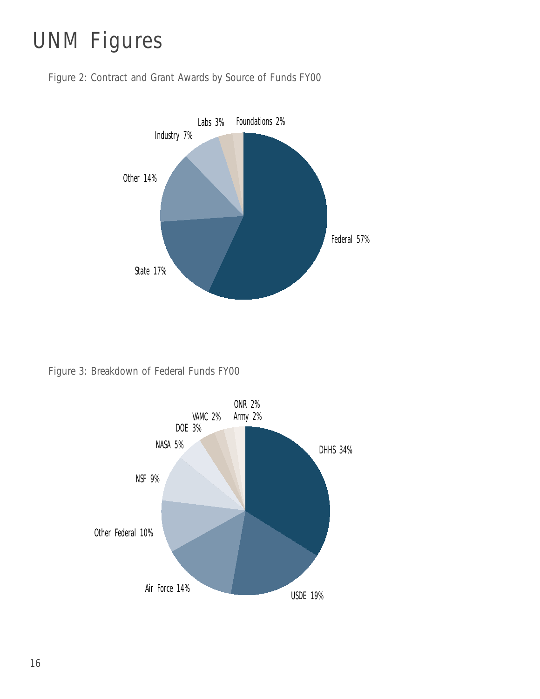# UNM Figures

Figure 2: Contract and Grant Awards by Source of Funds FY00



Figure 3: Breakdown of Federal Funds FY00

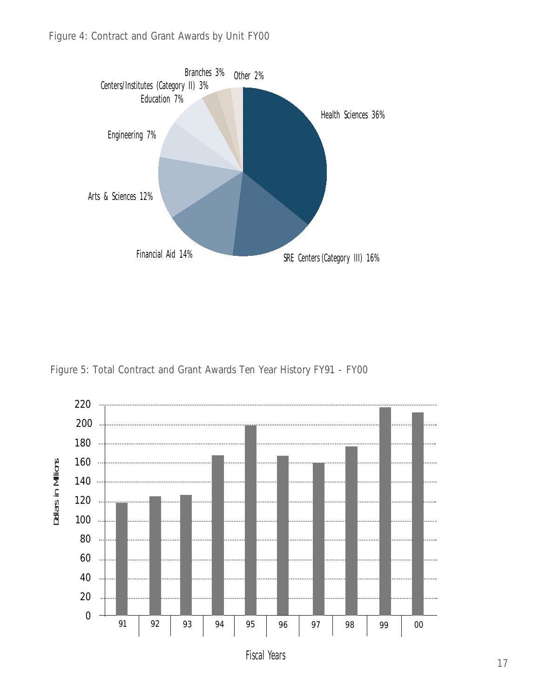

Figure 5: Total Contract and Grant Awards Ten Year History FY91 - FY00



Fiscal Years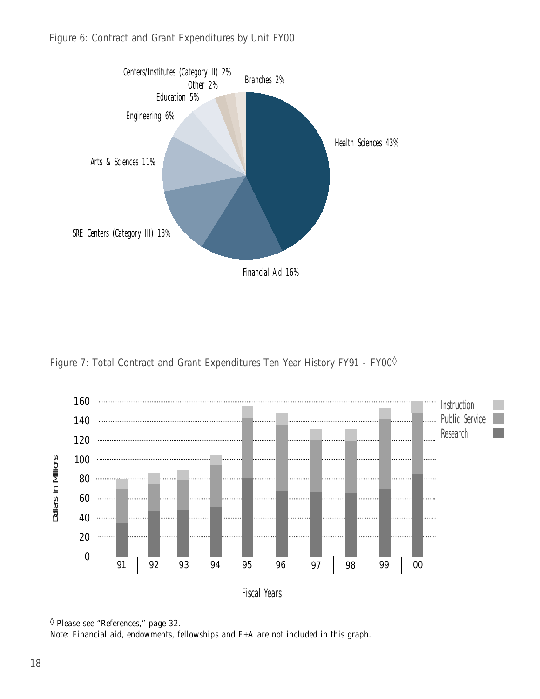

Figure 7: Total Contract and Grant Expenditures Ten Year History FY91 - FY00<sup>0</sup>



<sup>◊</sup> *Please see "References," page 32.*

*Note: Financial aid, endowments, fellowships and F+A are not included in this graph.*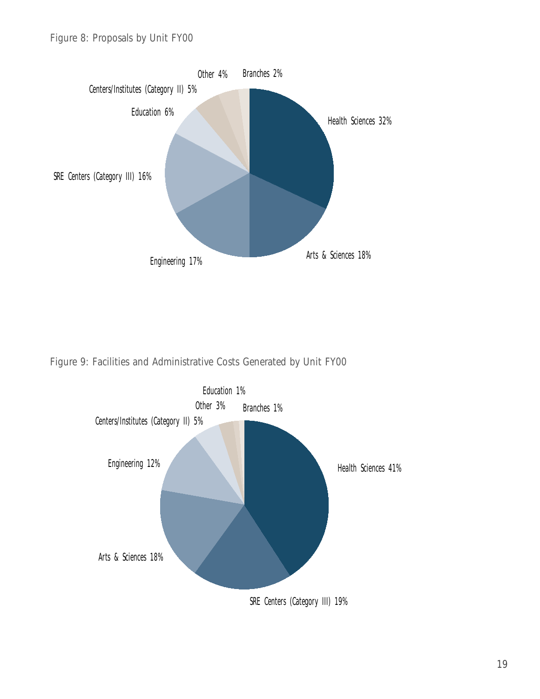

Figure 9: Facilities and Administrative Costs Generated by Unit FY00

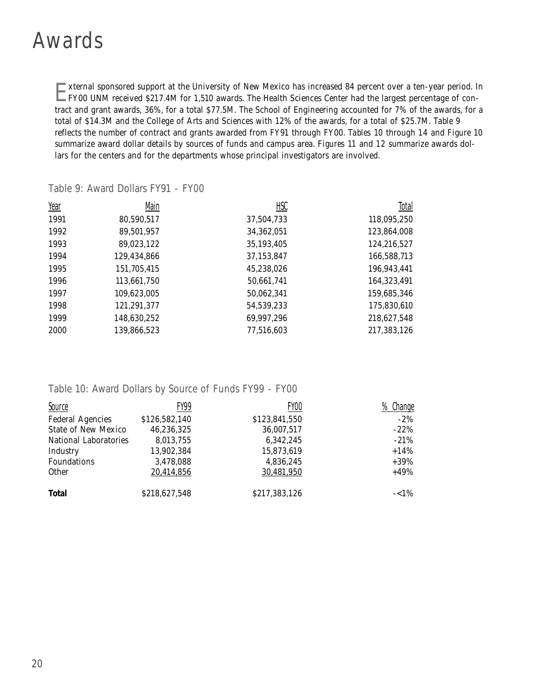#### Awards

External sponsored support at the University of New Mexico has increased 84 percent over a ten-year period. In FY00 UNM received \$217.4M for 1,510 awards. The Health Sciences Center had the largest percentage of contract and grant awards, 36%, for a total \$77.5M. The School of Engineering accounted for 7% of the awards, for a total of \$14.3M and the College of Arts and Sciences with 12% of the awards, for a total of \$25.7M. *Table 9* reflects the number of contract and grants awarded from FY91 through FY00. *Tables 10* through *14* and *Figure 10* summarize award dollar details by sources of funds and campus area. *Figures 11* and *12* summarize awards dollars for the centers and for the departments whose principal investigators are involved.

| Year | Main        | HSC        | Total       |
|------|-------------|------------|-------------|
| 1991 | 80,590,517  | 37,504,733 | 118,095,250 |
| 1992 | 89,501,957  | 34,362,051 | 123,864,008 |
| 1993 | 89,023,122  | 35,193,405 | 124,216,527 |
| 1994 | 129,434,866 | 37,153,847 | 166,588,713 |
| 1995 | 151,705,415 | 45,238,026 | 196,943,441 |
| 1996 | 113,661,750 | 50,661,741 | 164,323,491 |
| 1997 | 109,623,005 | 50,062,341 | 159,685,346 |
| 1998 | 121,291,377 | 54,539,233 | 175,830,610 |
| 1999 | 148,630,252 | 69,997,296 | 218,627,548 |
| 2000 | 139,866,523 | 77,516,603 | 217,383,126 |

Table 9: Award Dollars FY91 - FY00

#### Table 10: Award Dollars by Source of Funds FY99 - FY00

| Source                     | FY99          | FY <sub>00</sub> | %<br>Change |
|----------------------------|---------------|------------------|-------------|
| <b>Federal Agencies</b>    | \$126,582,140 | \$123,841,550    | $-2\%$      |
| <b>State of New Mexico</b> | 46,236,325    | 36,007,517       | $-22%$      |
| National Laboratories      | 8,013,755     | 6,342,245        | $-21%$      |
| Industry                   | 13,902,384    | 15,873,619       | $+14%$      |
| Foundations                | 3,478,088     | 4,836,245        | $+39%$      |
| <b>Other</b>               | 20,414,856    | 30,481,950       | $+49%$      |
| <b>Total</b>               | \$218,627,548 | \$217,383,126    | $-<1\%$     |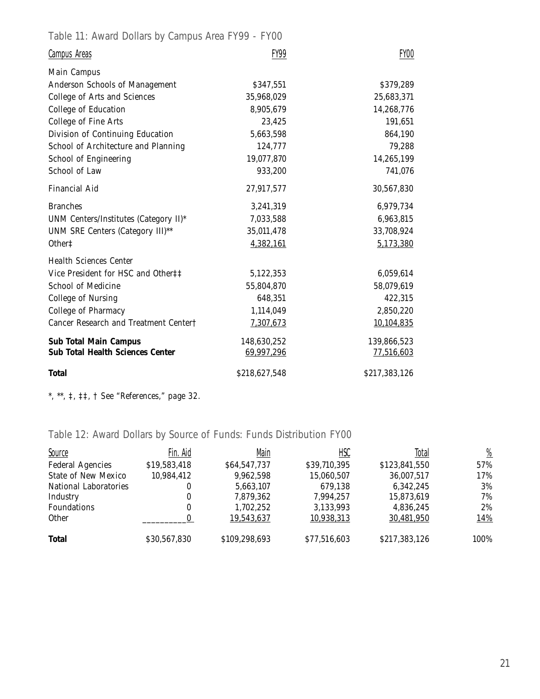Table 11: Award Dollars by Campus Area FY99 - FY00

| <b>Campus Areas</b>                     | FY99          | <b>FY00</b>   |
|-----------------------------------------|---------------|---------------|
| <b>Main Campus</b>                      |               |               |
| Anderson Schools of Management          | \$347,551     | \$379,289     |
| College of Arts and Sciences            | 35,968,029    | 25,683,371    |
| College of Education                    | 8,905,679     | 14,268,776    |
| <b>College of Fine Arts</b>             | 23,425        | 191,651       |
| Division of Continuing Education        | 5,663,598     | 864,190       |
| School of Architecture and Planning     | 124,777       | 79,288        |
| School of Engineering                   | 19,077,870    | 14,265,199    |
| School of Law                           | 933,200       | 741,076       |
| <b>Financial Aid</b>                    | 27,917,577    | 30,567,830    |
| <b>Branches</b>                         | 3,241,319     | 6,979,734     |
| UNM Centers/Institutes (Category II)*   | 7,033,588     | 6,963,815     |
| UNM SRE Centers (Category III)**        | 35,011,478    | 33,708,924    |
| Other <sup>+</sup>                      | 4,382,161     | 5,173,380     |
| <b>Health Sciences Center</b>           |               |               |
| Vice President for HSC and Other##      | 5,122,353     | 6,059,614     |
| School of Medicine                      | 55,804,870    | 58,079,619    |
| College of Nursing                      | 648,351       | 422,315       |
| College of Pharmacy                     | 1,114,049     | 2,850,220     |
| Cancer Research and Treatment Center†   | 7,307,673     | 10,104,835    |
| <b>Sub Total Main Campus</b>            | 148,630,252   | 139,866,523   |
| <b>Sub Total Health Sciences Center</b> | 69,997,296    | 77,516,603    |
| <b>Total</b>                            | \$218,627,548 | \$217,383,126 |

*\*, \*\*, ‡, ‡‡, † See "References," page 32.*

Table 12: Award Dollars by Source of Funds: Funds Distribution FY00

| <b>Source</b>              | Fin. Aid     | Main          | <u>HSC</u>   | Total         | $\frac{\%}{\frac{1}{2}}$ |
|----------------------------|--------------|---------------|--------------|---------------|--------------------------|
| <b>Federal Agencies</b>    | \$19,583,418 | \$64,547,737  | \$39,710,395 | \$123,841,550 | 57%                      |
| <b>State of New Mexico</b> | 10,984,412   | 9,962,598     | 15,060,507   | 36,007,517    | 17%                      |
| National Laboratories      | 0            | 5,663,107     | 679,138      | 6,342,245     | 3%                       |
| Industry                   | 0            | 7,879,362     | 7.994.257    | 15,873,619    | 7%                       |
| <b>Foundations</b>         | 0            | 1.702.252     | 3,133,993    | 4,836,245     | 2%                       |
| <b>Other</b>               |              | 19.543.637    | 10.938.313   | 30.481.950    | <u> 14%</u>              |
| <b>Total</b>               | \$30,567,830 | \$109,298,693 | \$77,516,603 | \$217,383,126 | 100%                     |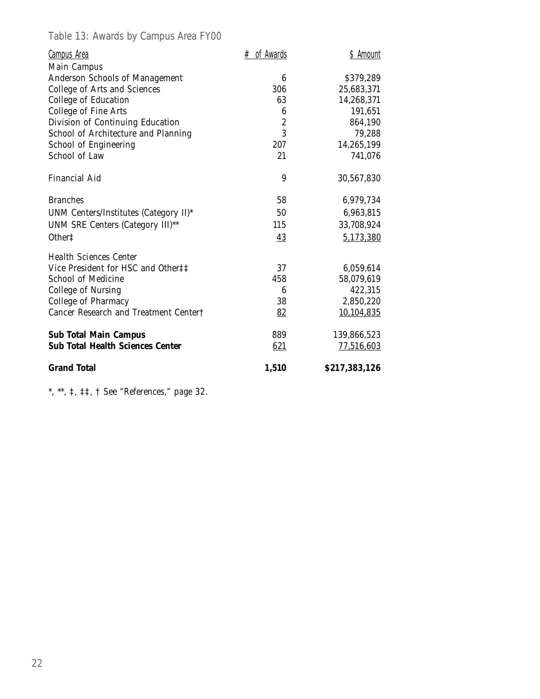Table 13: Awards by Campus Area FY00

| <b>Campus Area</b>                      | $#$ of Awards    | \$ Amount     |
|-----------------------------------------|------------------|---------------|
| <b>Main Campus</b>                      |                  |               |
| Anderson Schools of Management          | 6                | \$379,289     |
| College of Arts and Sciences            | 306              | 25,683,371    |
| College of Education                    | 63               | 14,268,371    |
| College of Fine Arts                    | 6                | 191,651       |
| Division of Continuing Education        | $\boldsymbol{2}$ | 864,190       |
| School of Architecture and Planning     | 3                | 79,288        |
| School of Engineering                   | 207              | 14,265,199    |
| School of Law                           | 21               | 741,076       |
| <b>Financial Aid</b>                    | 9                | 30,567,830    |
| <b>Branches</b>                         | 58               | 6,979,734     |
| UNM Centers/Institutes (Category II)*   | 50               | 6,963,815     |
| UNM SRE Centers (Category III)**        | 115              | 33,708,924    |
| Other <sup>+</sup>                      | 43               | 5,173,380     |
| <b>Health Sciences Center</b>           |                  |               |
| Vice President for HSC and Other‡‡      | 37               | 6,059,614     |
| <b>School of Medicine</b>               | 458              | 58,079,619    |
| College of Nursing                      | 6                | 422,315       |
| College of Pharmacy                     | 38               | 2,850,220     |
| Cancer Research and Treatment Center†   | 82               | 10,104,835    |
| <b>Sub Total Main Campus</b>            | 889              | 139,866,523   |
| <b>Sub Total Health Sciences Center</b> | 621              | 77,516,603    |
| <b>Grand Total</b>                      | 1,510            | \$217,383,126 |

*\*, \*\*, ‡, ‡‡, † See "References," page 32.*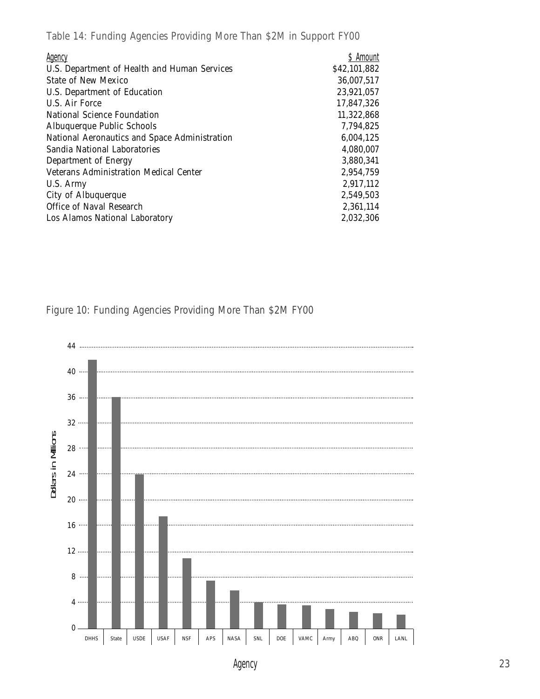Table 14: Funding Agencies Providing More Than \$2M in Support FY00

| <b>Agency</b>                                 | \$ Amount    |
|-----------------------------------------------|--------------|
| U.S. Department of Health and Human Services  | \$42,101,882 |
| State of New Mexico                           | 36,007,517   |
| U.S. Department of Education                  | 23,921,057   |
| U.S. Air Force                                | 17,847,326   |
| National Science Foundation                   | 11,322,868   |
| Albuquerque Public Schools                    | 7,794,825    |
| National Aeronautics and Space Administration | 6,004,125    |
| Sandia National Laboratories                  | 4,080,007    |
| Department of Energy                          | 3,880,341    |
| <b>Veterans Administration Medical Center</b> | 2,954,759    |
| U.S. Army                                     | 2,917,112    |
| City of Albuquerque                           | 2,549,503    |
| Office of Naval Research                      | 2,361,114    |
| Los Alamos National Laboratory                | 2,032,306    |

Figure 10: Funding Agencies Providing More Than \$2M FY00



Agency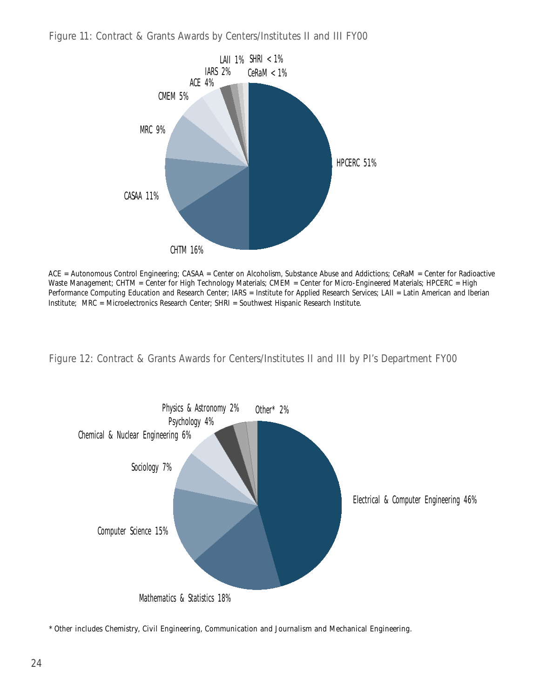



ACE = Autonomous Control Engineering; CASAA = Center on Alcoholism, Substance Abuse and Addictions; CeRaM = Center for Radioactive Waste Management; CHTM = Center for High Technology Materials; CMEM = Center for Micro-Engineered Materials; HPCERC = High Performance Computing Education and Research Center; IARS = Institute for Applied Research Services; LAII = Latin American and Iberian Institute; MRC = Microelectronics Research Center; SHRI = Southwest Hispanic Research Institute.

Figure 12: Contract & Grants Awards for Centers/Institutes II and III by PI's Department FY00



\* *Other* includes Chemistry, Civil Engineering, Communication and Journalism and Mechanical Engineering.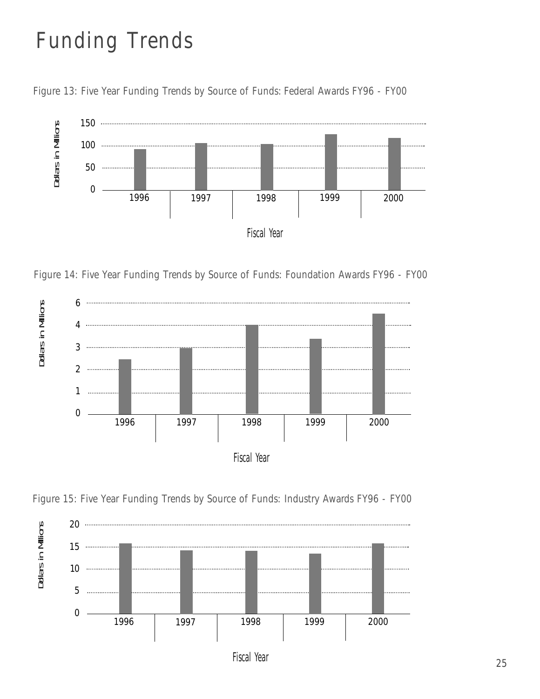# Funding Trends





Figure 14: Five Year Funding Trends by Source of Funds: Foundation Awards FY96 - FY00







Fiscal Year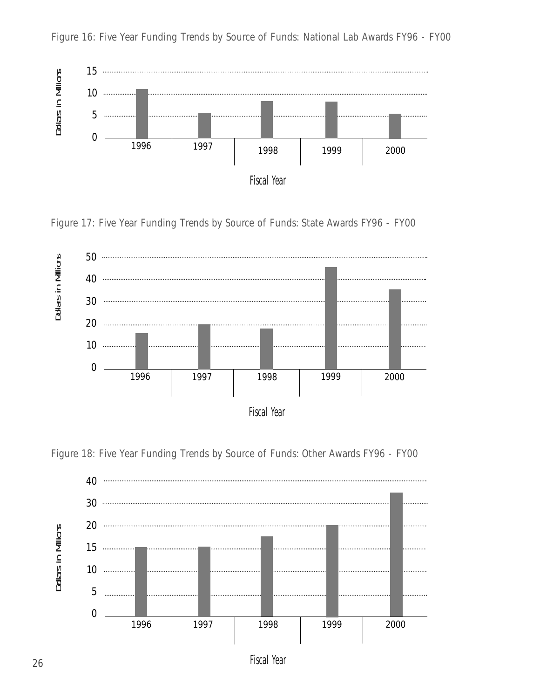

Figure 16: Five Year Funding Trends by Source of Funds: National Lab Awards FY96 - FY00







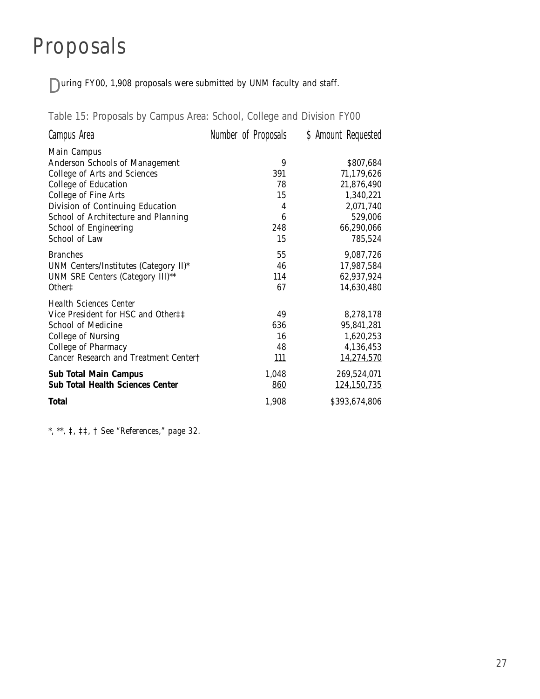## Proposals

During FY00, 1,908 proposals were submitted by UNM faculty and staff.

Table 15: Proposals by Campus Area: School, College and Division FY00

| <u>Campus Area</u>                      | <u>Number of Proposals</u> | <u>\$ Amount Requested</u> |
|-----------------------------------------|----------------------------|----------------------------|
| <b>Main Campus</b>                      |                            |                            |
| Anderson Schools of Management          | 9                          | \$807,684                  |
| College of Arts and Sciences            | 391                        | 71,179,626                 |
| College of Education                    | 78                         | 21,876,490                 |
| College of Fine Arts                    | 15                         | 1,340,221                  |
| Division of Continuing Education        | 4                          | 2,071,740                  |
| School of Architecture and Planning     | 6                          | 529,006                    |
| School of Engineering                   | 248                        | 66,290,066                 |
| School of Law                           | 15                         | 785,524                    |
| <b>Branches</b>                         | 55                         | 9,087,726                  |
| UNM Centers/Institutes (Category II)*   | 46                         | 17,987,584                 |
| UNM SRE Centers (Category III)**        | 114                        | 62,937,924                 |
| Other <sup>#</sup>                      | 67                         | 14,630,480                 |
| <b>Health Sciences Center</b>           |                            |                            |
| Vice President for HSC and Other##      | 49                         | 8,278,178                  |
| <b>School of Medicine</b>               | 636                        | 95,841,281                 |
| College of Nursing                      | 16                         | 1,620,253                  |
| College of Pharmacy                     | 48                         | 4,136,453                  |
| Cancer Research and Treatment Center†   | <u> 111</u>                | 14,274,570                 |
| <b>Sub Total Main Campus</b>            | 1,048                      | 269,524,071                |
| <b>Sub Total Health Sciences Center</b> | 860                        | 124,150,735                |
| <b>Total</b>                            | 1,908                      | \$393,674,806              |

*\*, \*\*, ‡, ‡‡, † See "References," page 32.*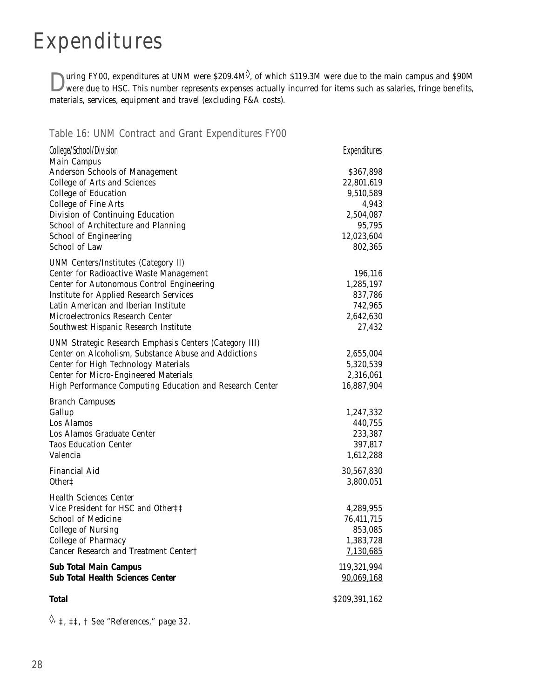## Expenditures

 $\sum$  wring FY00, expenditures at UNM were \$209.4M<sup> $\Diamond$ </sup>, of which \$119.3M were due to the main campus and \$90M were due to HSC. This number represents expenses actually incurred for items such as salaries, fringe benefits materials, services, equipment and travel (excluding F&A costs).

#### Table 16: UNM Contract and Grant Expenditures FY00

| College/School/Division                                  | <b>Expenditures</b> |
|----------------------------------------------------------|---------------------|
| <b>Main Campus</b>                                       |                     |
| Anderson Schools of Management                           | \$367,898           |
| College of Arts and Sciences                             | 22,801,619          |
| College of Education                                     | 9,510,589           |
| College of Fine Arts                                     | 4,943               |
| Division of Continuing Education                         | 2,504,087           |
| School of Architecture and Planning                      | 95,795              |
| School of Engineering                                    | 12,023,604          |
| School of Law                                            | 802,365             |
| <b>UNM Centers/Institutes (Category II)</b>              |                     |
| Center for Radioactive Waste Management                  | 196,116             |
| Center for Autonomous Control Engineering                | 1,285,197           |
| <b>Institute for Applied Research Services</b>           | 837,786             |
| Latin American and Iberian Institute                     | 742,965             |
| Microelectronics Research Center                         | 2,642,630           |
| Southwest Hispanic Research Institute                    | 27,432              |
| UNM Strategic Research Emphasis Centers (Category III)   |                     |
| Center on Alcoholism, Substance Abuse and Addictions     | 2,655,004           |
| Center for High Technology Materials                     | 5,320,539           |
| <b>Center for Micro-Engineered Materials</b>             | 2,316,061           |
| High Performance Computing Education and Research Center | 16,887,904          |
| <b>Branch Campuses</b>                                   |                     |
| Gallup                                                   | 1,247,332           |
| Los Alamos                                               | 440,755             |
| Los Alamos Graduate Center                               | 233,387             |
| <b>Taos Education Center</b>                             | 397,817             |
| Valencia                                                 | 1,612,288           |
| Financial Aid                                            | 30,567,830          |
| Other <sup><math>\ddagger</math></sup>                   | 3,800,051           |
| <b>Health Sciences Center</b>                            |                     |
| Vice President for HSC and Other‡‡                       | 4,289,955           |
| School of Medicine                                       | 76,411,715          |
| College of Nursing                                       | 853,085             |
| College of Pharmacy                                      | 1,383,728           |
| Cancer Research and Treatment Center†                    | 7,130,685           |
|                                                          |                     |
| <b>Sub Total Main Campus</b>                             | 119,321,994         |
| <b>Sub Total Health Sciences Center</b>                  | 90,069,168          |
| Total                                                    | \$209,391,162       |

◊*, ‡, ‡‡, † See "References," page 32.*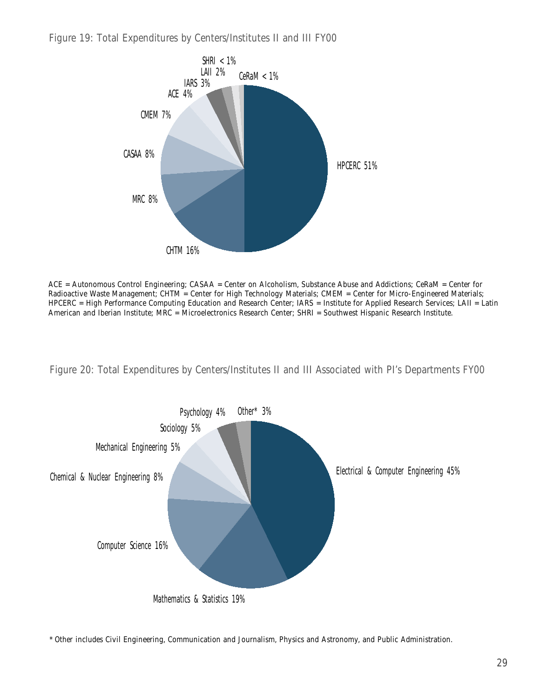Figure 19: Total Expenditures by Centers/Institutes II and III FY00



ACE = Autonomous Control Engineering; CASAA = Center on Alcoholism, Substance Abuse and Addictions; CeRaM = Center for Radioactive Waste Management; CHTM = Center for High Technology Materials; CMEM = Center for Micro-Engineered Materials; HPCERC = High Performance Computing Education and Research Center; IARS = Institute for Applied Research Services; LAII = Latin American and Iberian Institute; MRC = Microelectronics Research Center; SHRI = Southwest Hispanic Research Institute.

Figure 20: Total Expenditures by Centers/Institutes II and III Associated with PI's Departments FY00



\* *Other* includes Civil Engineering, Communication and Journalism, Physics and Astronomy, and Public Administration.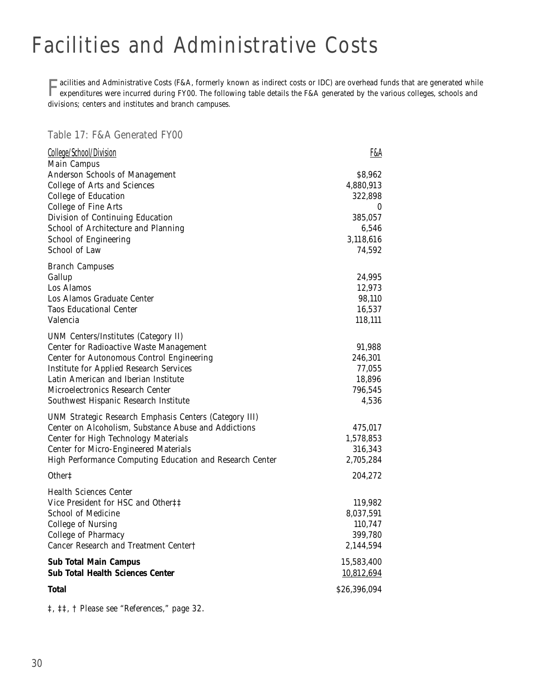# Facilities and Administrative Costs

**Facilities and Administrative Costs (F&A, formerly known as indirect costs or IDC) are overhead funds that are generated while expenditures were incurred during FY00. The following table details the F&A generated by the v** divisions; centers and institutes and branch campuses.

#### Table 17: F&A Generated FY00

| College/School/Division                                                                                  | F&A                  |
|----------------------------------------------------------------------------------------------------------|----------------------|
| Main Campus<br>Anderson Schools of Management<br>College of Arts and Sciences                            | \$8,962<br>4,880,913 |
| College of Education                                                                                     | 322,898              |
| College of Fine Arts                                                                                     | 0<br>385,057         |
| Division of Continuing Education<br>School of Architecture and Planning                                  | 6,546                |
| School of Engineering                                                                                    | 3,118,616            |
| School of Law                                                                                            | 74,592               |
| <b>Branch Campuses</b>                                                                                   |                      |
| Gallup<br>Los Alamos                                                                                     | 24,995               |
| Los Alamos Graduate Center                                                                               | 12,973<br>98,110     |
| Taos Educational Center                                                                                  | 16,537               |
| Valencia                                                                                                 | 118,111              |
| <b>UNM Centers/Institutes (Category II)</b>                                                              |                      |
| Center for Radioactive Waste Management                                                                  | 91,988               |
| Center for Autonomous Control Engineering                                                                | 246,301              |
| <b>Institute for Applied Research Services</b>                                                           | 77,055               |
| Latin American and Iberian Institute                                                                     | 18,896               |
| Microelectronics Research Center                                                                         | 796,545              |
| Southwest Hispanic Research Institute                                                                    | 4,536                |
| <b>UNM Strategic Research Emphasis Centers (Category III)</b>                                            |                      |
| Center on Alcoholism, Substance Abuse and Addictions                                                     | 475,017              |
| Center for High Technology Materials                                                                     | 1,578,853            |
| <b>Center for Micro-Engineered Materials</b><br>High Performance Computing Education and Research Center | 316,343<br>2,705,284 |
|                                                                                                          |                      |
| Other <sup>+</sup>                                                                                       | 204,272              |
| <b>Health Sciences Center</b>                                                                            |                      |
| Vice President for HSC and Other‡‡<br>School of Medicine                                                 | 119,982              |
| College of Nursing                                                                                       | 8,037,591<br>110,747 |
| <b>College of Pharmacy</b>                                                                               | 399,780              |
| Cancer Research and Treatment Center†                                                                    | 2,144,594            |
| <b>Sub Total Main Campus</b>                                                                             | 15,583,400           |
| <b>Sub Total Health Sciences Center</b>                                                                  | 10,812,694           |
| Total                                                                                                    | \$26,396,094         |

*‡, ‡‡, † Please see "References," page 32.*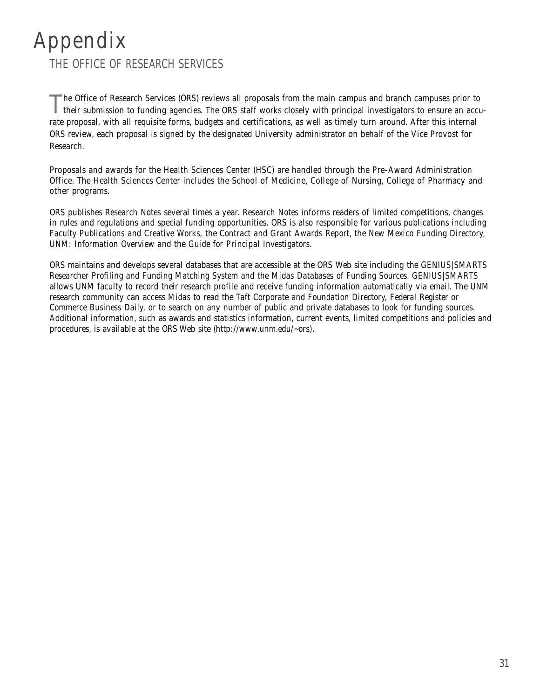#### Appendix THE OFFICE OF RESEARCH SERVICES

The Office of Research Services (ORS) reviews all proposals from the main campus and branch campuses prior to their submission to funding agencies. The ORS staff works closely with principal investigators to ensure an accu rate proposal, with all requisite forms, budgets and certifications, as well as timely turn around. After this internal ORS review, each proposal is signed by the designated University administrator on behalf of the Vice Provost for Research.

Proposals and awards for the Health Sciences Center (HSC) are handled through the Pre-Award Administration Office. The Health Sciences Center includes the School of Medicine, College of Nursing, College of Pharmacy and other programs.

ORS publishes *Research Notes* several times a year. *Research Notes* informs readers of limited competitions, changes in rules and regulations and special funding opportunities. ORS is also responsible for various publications including *Faculty Publications and Creative Works,* the *Contract and Grant Awards Report*, the *New Mexico Funding Directory, UNM: Information Overview and* the *Guide for Principal Investigators.* 

ORS maintains and develops several databases that are accessible at the ORS Web site including the *GENIUS|SMARTS Researcher Profiling and Funding Matching System* and the *Midas Databases of Funding Sources*. *GENIUS|SMARTS* allows UNM faculty to record their research profile and receive funding information automatically via email. The UNM research community can access *Midas* to read the *Taft Corporate and Foundation Directory, Federal Register* or *Commerce Business Daily,* or to search on any number of public and private databases to look for funding sources. Additional information, such as awards and statistics information, current events, limited competitions and policies and procedures, is available at the ORS Web site (*http://www.unm.edu/~ors)*.